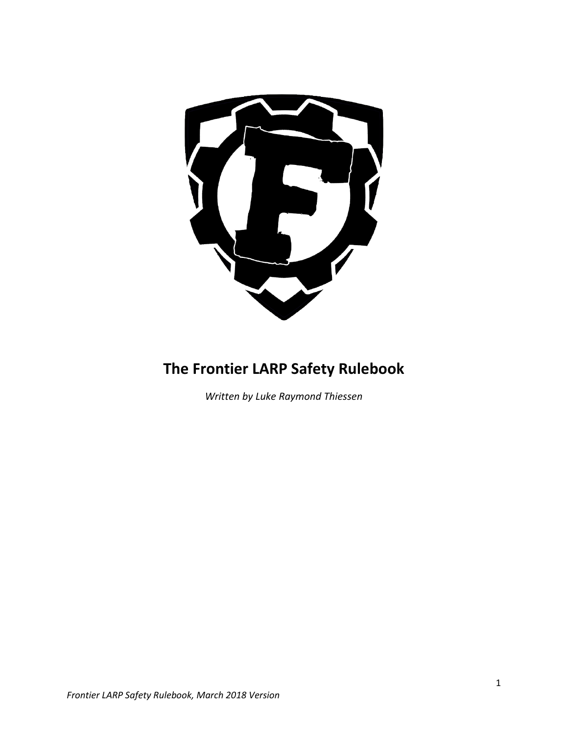

## **The Frontier LARP Safety Rulebook**

*Written by Luke Raymond Thiessen*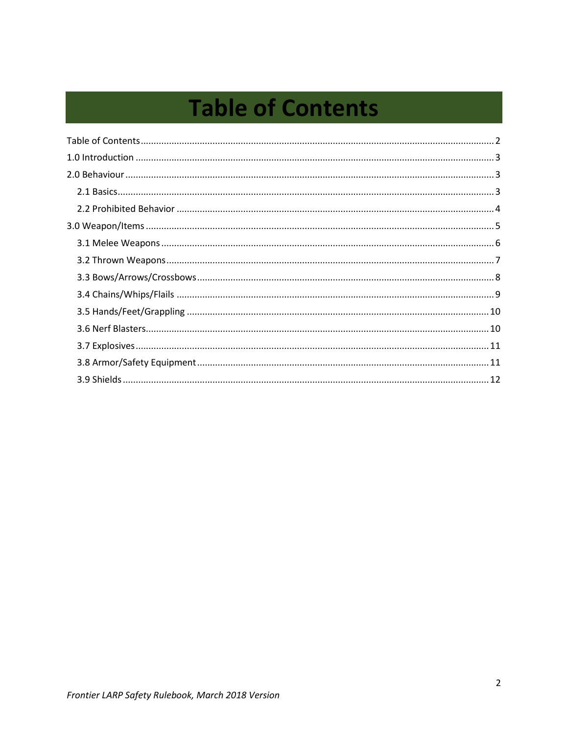# <span id="page-1-0"></span>**Table of Contents**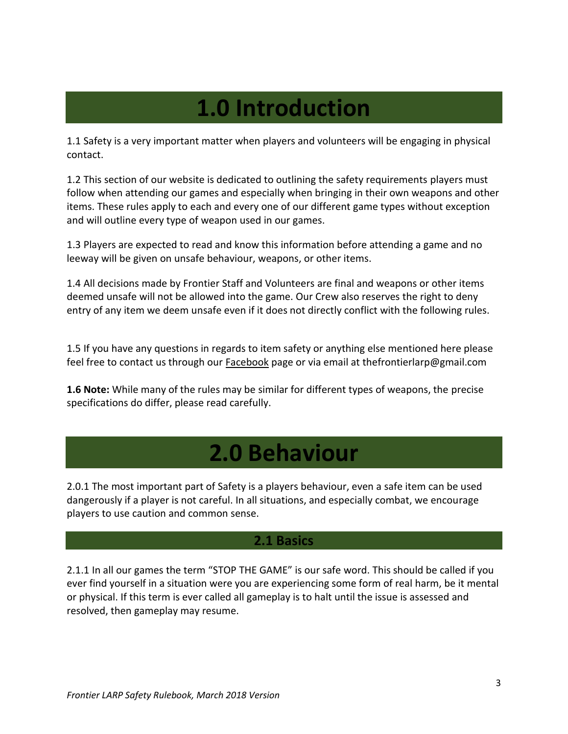## **1.0 Introduction**

<span id="page-2-0"></span>1.1 Safety is a very important matter when players and volunteers will be engaging in physical contact.

1.2 This section of our website is dedicated to outlining the safety requirements players must follow when attending our games and especially when bringing in their own weapons and other items. These rules apply to each and every one of our different game types without exception and will outline every type of weapon used in our games.

1.3 Players are expected to read and know this information before attending a game and no leeway will be given on unsafe behaviour, weapons, or other items.

1.4 All decisions made by Frontier Staff and Volunteers are final and weapons or other items deemed unsafe will not be allowed into the game. Our Crew also reserves the right to deny entry of any item we deem unsafe even if it does not directly conflict with the following rules.

1.5 If you have any questions in regards to item safety or anything else mentioned here please feel free to contact us through our [Facebook](https://www.facebook.com/frontierlarp) page or via email at thefrontierlarp@gmail.com

**1.6 Note:** While many of the rules may be similar for different types of weapons, the precise specifications do differ, please read carefully.

## **2.0 Behaviour**

<span id="page-2-1"></span>2.0.1 The most important part of Safety is a players behaviour, even a safe item can be used dangerously if a player is not careful. In all situations, and especially combat, we encourage players to use caution and common sense.

## **2.1 Basics**

<span id="page-2-2"></span>2.1.1 In all our games the term "STOP THE GAME" is our safe word. This should be called if you ever find yourself in a situation were you are experiencing some form of real harm, be it mental or physical. If this term is ever called all gameplay is to halt until the issue is assessed and resolved, then gameplay may resume.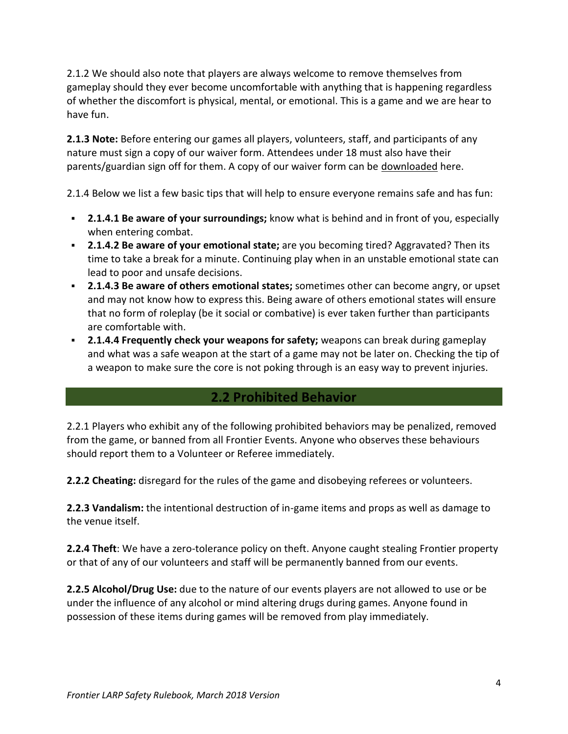2.1.2 We should also note that players are always welcome to remove themselves from gameplay should they ever become uncomfortable with anything that is happening regardless of whether the discomfort is physical, mental, or emotional. This is a game and we are hear to have fun.

**2.1.3 Note:** Before entering our games all players, volunteers, staff, and participants of any nature must sign a copy of our waiver form. Attendees under 18 must also have their parents/guardian sign off for them. A copy of our waiver form can be [downloaded](https://frontierlarp.com/wp-content/uploads/2016/05/The-Frontier-LARP-Ltd-Release-and-Waiver-of-Liability.pdf) here.

2.1.4 Below we list a few basic tips that will help to ensure everyone remains safe and has fun:

- **2.1.4.1 Be aware of your surroundings;** know what is behind and in front of you, especially when entering combat.
- **2.1.4.2 Be aware of your emotional state;** are you becoming tired? Aggravated? Then its time to take a break for a minute. Continuing play when in an unstable emotional state can lead to poor and unsafe decisions.
- **2.1.4.3 Be aware of others emotional states;** sometimes other can become angry, or upset and may not know how to express this. Being aware of others emotional states will ensure that no form of roleplay (be it social or combative) is ever taken further than participants are comfortable with.
- **2.1.4.4 Frequently check your weapons for safety;** weapons can break during gameplay and what was a safe weapon at the start of a game may not be later on. Checking the tip of a weapon to make sure the core is not poking through is an easy way to prevent injuries.

## **2.2 Prohibited Behavior**

<span id="page-3-0"></span>2.2.1 Players who exhibit any of the following prohibited behaviors may be penalized, removed from the game, or banned from all Frontier Events. Anyone who observes these behaviours should report them to a Volunteer or Referee immediately.

**2.2.2 Cheating:** disregard for the rules of the game and disobeying referees or volunteers.

**2.2.3 Vandalism:** the intentional destruction of in-game items and props as well as damage to the venue itself.

**2.2.4 Theft**: We have a zero-tolerance policy on theft. Anyone caught stealing Frontier property or that of any of our volunteers and staff will be permanently banned from our events.

**2.2.5 Alcohol/Drug Use:** due to the nature of our events players are not allowed to use or be under the influence of any alcohol or mind altering drugs during games. Anyone found in possession of these items during games will be removed from play immediately.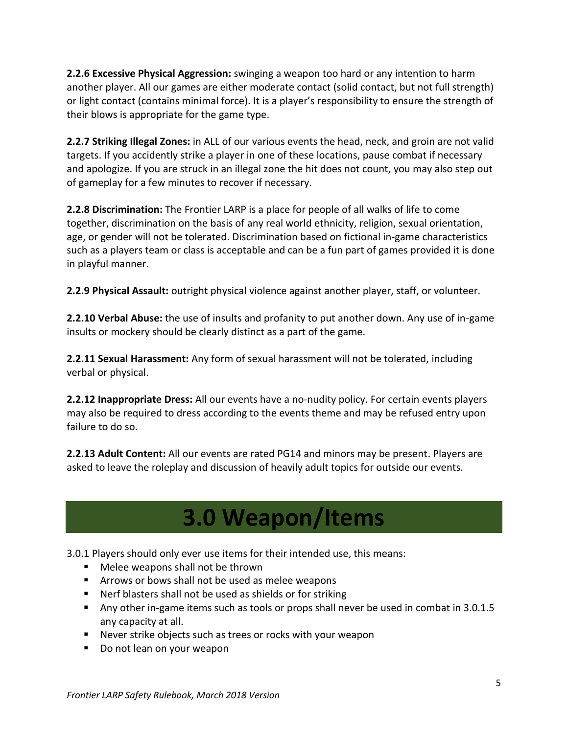**2.2.6 Excessive Physical Aggression:** swinging a weapon too hard or any intention to harm another player. All our games are either moderate contact (solid contact, but not full strength) or light contact (contains minimal force). It is a player's responsibility to ensure the strength of their blows is appropriate for the game type.

**2.2.7 Striking Illegal Zones:** in ALL of our various events the head, neck, and groin are not valid targets. If you accidently strike a player in one of these locations, pause combat if necessary and apologize. If you are struck in an illegal zone the hit does not count, you may also step out of gameplay for a few minutes to recover if necessary.

**2.2.8 Discrimination:** The Frontier LARP is a place for people of all walks of life to come together, discrimination on the basis of any real world ethnicity, religion, sexual orientation, age, or gender will not be tolerated. Discrimination based on fictional in-game characteristics such as a players team or class is acceptable and can be a fun part of games provided it is done in playful manner.

**2.2.9 Physical Assault:** outright physical violence against another player, staff, or volunteer.

**2.2.10 Verbal Abuse:** the use of insults and profanity to put another down. Any use of in-game insults or mockery should be clearly distinct as a part of the game.

**2.2.11 Sexual Harassment:** Any form of sexual harassment will not be tolerated, including verbal or physical.

**2.2.12 Inappropriate Dress:** All our events have a no-nudity policy. For certain events players may also be required to dress according to the events theme and may be refused entry upon failure to do so.

**2.2.13 Adult Content:** All our events are rated PG14 and minors may be present. Players are asked to leave the roleplay and discussion of heavily adult topics for outside our events.

## **3.0 Weapon/Items**

<span id="page-4-0"></span>3.0.1 Players should only ever use items for their intended use, this means:

- Melee weapons shall not be thrown
- Arrows or bows shall not be used as melee weapons
- Nerf blasters shall not be used as shields or for striking
- Any other in-game items such as tools or props shall never be used in combat in 3.0.1.5 any capacity at all.
- Never strike objects such as trees or rocks with your weapon
- Do not lean on your weapon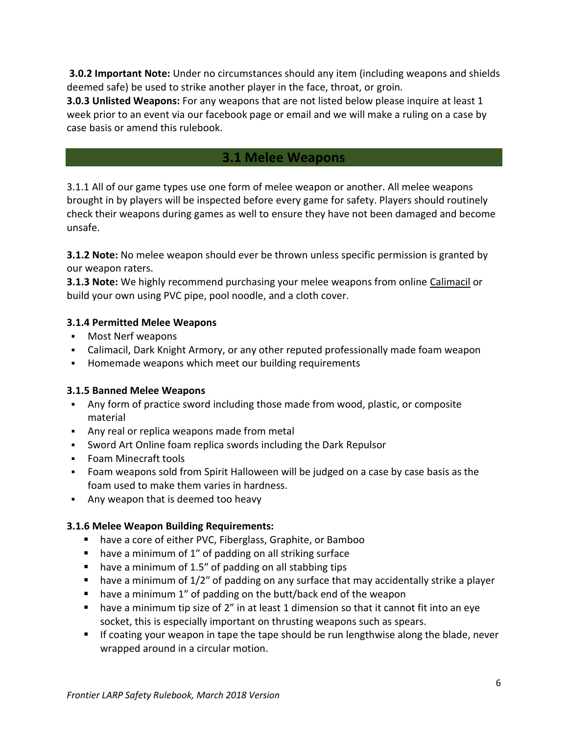**3.0.2 Important Note:** Under no circumstances should any item (including weapons and shields deemed safe) be used to strike another player in the face, throat, or groin.

**3.0.3 Unlisted Weapons:** For any weapons that are not listed below please inquire at least 1 week prior to an event via our facebook page or email and we will make a ruling on a case by case basis or amend this rulebook.

## **3.1 Melee Weapons**

<span id="page-5-0"></span>3.1.1 All of our game types use one form of melee weapon or another. All melee weapons brought in by players will be inspected before every game for safety. Players should routinely check their weapons during games as well to ensure they have not been damaged and become unsafe.

**3.1.2 Note:** No melee weapon should ever be thrown unless specific permission is granted by our weapon raters.

**3.1.3 Note:** We highly recommend purchasing your melee weapons from online [Calimacil](http://www.en.calimacil.ca/) or build your own using PVC pipe, pool noodle, and a cloth cover.

### **3.1.4 Permitted Melee Weapons**

- Most Nerf weapons
- Calimacil, Dark Knight Armory, or any other reputed professionally made foam weapon
- Homemade weapons which meet our building requirements

### **3.1.5 Banned Melee Weapons**

- Any form of practice sword including those made from wood, plastic, or composite material
- Any real or replica weapons made from metal
- Sword Art Online foam replica swords including the Dark Repulsor
- Foam Minecraft tools
- Foam weapons sold from Spirit Halloween will be judged on a case by case basis as the foam used to make them varies in hardness.
- Any weapon that is deemed too heavy

## **3.1.6 Melee Weapon Building Requirements:**

- have a core of either PVC, Fiberglass, Graphite, or Bamboo
- have a minimum of 1" of padding on all striking surface
- have a minimum of 1.5" of padding on all stabbing tips
- $\blacksquare$  have a minimum of  $1/2$ " of padding on any surface that may accidentally strike a player
- have a minimum 1" of padding on the butt/back end of the weapon
- **•** have a minimum tip size of 2" in at least 1 dimension so that it cannot fit into an eye socket, this is especially important on thrusting weapons such as spears.
- If coating your weapon in tape the tape should be run lengthwise along the blade, never wrapped around in a circular motion.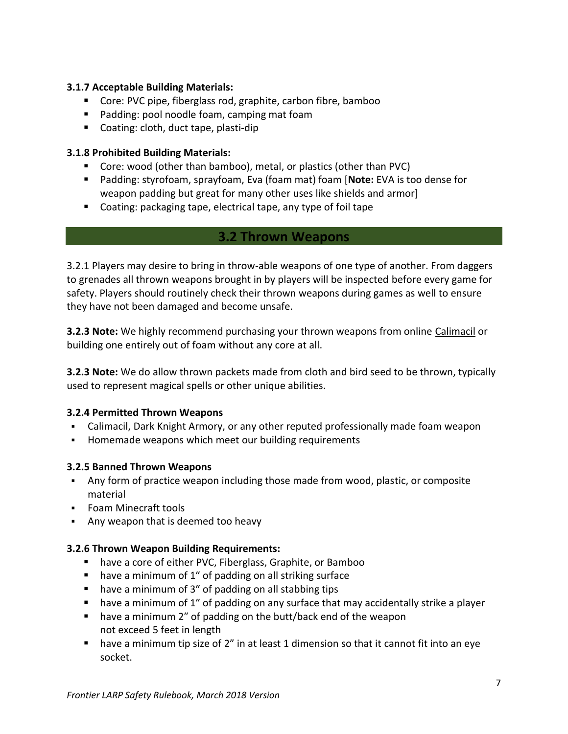## **3.1.7 Acceptable Building Materials:**

- Core: PVC pipe, fiberglass rod, graphite, carbon fibre, bamboo
- Padding: pool noodle foam, camping mat foam
- Coating: cloth, duct tape, plasti-dip

### **3.1.8 Prohibited Building Materials:**

- Core: wood (other than bamboo), metal, or plastics (other than PVC)
- Padding: styrofoam, sprayfoam, Eva (foam mat) foam [**Note:** EVA is too dense for weapon padding but great for many other uses like shields and armor]
- Coating: packaging tape, electrical tape, any type of foil tape

## **3.2 Thrown Weapons**

<span id="page-6-0"></span>3.2.1 Players may desire to bring in throw-able weapons of one type of another. From daggers to grenades all thrown weapons brought in by players will be inspected before every game for safety. Players should routinely check their thrown weapons during games as well to ensure they have not been damaged and become unsafe.

**3.2.3 Note:** We highly recommend purchasing your thrown weapons from online [Calimacil](http://www.en.calimacil.ca/) or building one entirely out of foam without any core at all.

**3.2.3 Note:** We do allow thrown packets made from cloth and bird seed to be thrown, typically used to represent magical spells or other unique abilities.

### **3.2.4 Permitted Thrown Weapons**

- Calimacil, Dark Knight Armory, or any other reputed professionally made foam weapon
- Homemade weapons which meet our building requirements

### **3.2.5 Banned Thrown Weapons**

- Any form of practice weapon including those made from wood, plastic, or composite material
- Foam Minecraft tools
- Any weapon that is deemed too heavy

#### **3.2.6 Thrown Weapon Building Requirements:**

- have a core of either PVC, Fiberglass, Graphite, or Bamboo
- have a minimum of 1" of padding on all striking surface
- have a minimum of 3" of padding on all stabbing tips
- have a minimum of 1" of padding on any surface that may accidentally strike a player
- have a minimum 2" of padding on the butt/back end of the weapon not exceed 5 feet in length
- **E** have a minimum tip size of 2" in at least 1 dimension so that it cannot fit into an eye socket.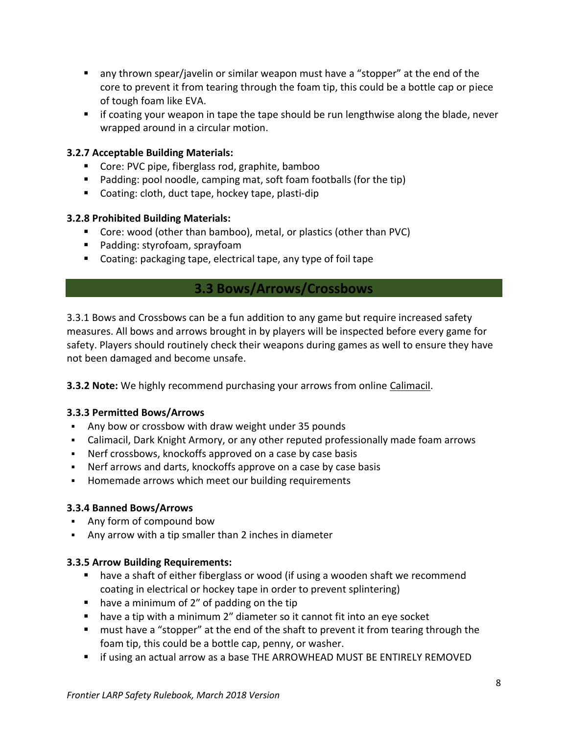- any thrown spear/javelin or similar weapon must have a "stopper" at the end of the core to prevent it from tearing through the foam tip, this could be a bottle cap or piece of tough foam like EVA.
- if coating your weapon in tape the tape should be run lengthwise along the blade, never wrapped around in a circular motion.

## **3.2.7 Acceptable Building Materials:**

- Core: PVC pipe, fiberglass rod, graphite, bamboo
- Padding: pool noodle, camping mat, soft foam footballs (for the tip)
- Coating: cloth, duct tape, hockey tape, plasti-dip

## **3.2.8 Prohibited Building Materials:**

- Core: wood (other than bamboo), metal, or plastics (other than PVC)
- Padding: styrofoam, sprayfoam
- Coating: packaging tape, electrical tape, any type of foil tape

## **3.3 Bows/Arrows/Crossbows**

<span id="page-7-0"></span>3.3.1 Bows and Crossbows can be a fun addition to any game but require increased safety measures. All bows and arrows brought in by players will be inspected before every game for safety. Players should routinely check their weapons during games as well to ensure they have not been damaged and become unsafe.

**3.3.2 Note:** We highly recommend purchasing your arrows from online [Calimacil.](http://www.en.calimacil.ca/)

## **3.3.3 Permitted Bows/Arrows**

- Any bow or crossbow with draw weight under 35 pounds
- Calimacil, Dark Knight Armory, or any other reputed professionally made foam arrows
- Nerf crossbows, knockoffs approved on a case by case basis
- Nerf arrows and darts, knockoffs approve on a case by case basis
- Homemade arrows which meet our building requirements

## **3.3.4 Banned Bows/Arrows**

- Any form of compound bow
- Any arrow with a tip smaller than 2 inches in diameter

## **3.3.5 Arrow Building Requirements:**

- have a shaft of either fiberglass or wood (if using a wooden shaft we recommend coating in electrical or hockey tape in order to prevent splintering)
- have a minimum of 2" of padding on the tip
- have a tip with a minimum 2" diameter so it cannot fit into an eye socket
- must have a "stopper" at the end of the shaft to prevent it from tearing through the foam tip, this could be a bottle cap, penny, or washer.
- **E** if using an actual arrow as a base THE ARROWHEAD MUST BE ENTIRELY REMOVED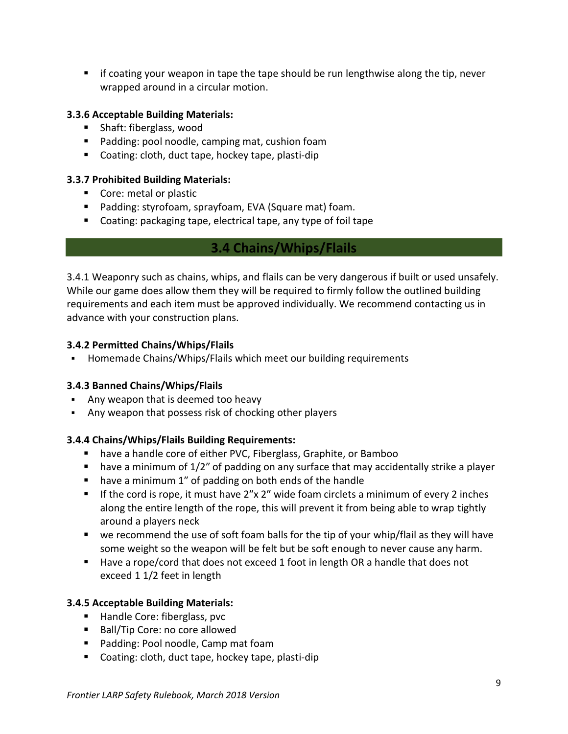■ if coating your weapon in tape the tape should be run lengthwise along the tip, never wrapped around in a circular motion.

## **3.3.6 Acceptable Building Materials:**

- Shaft: fiberglass, wood
- Padding: pool noodle, camping mat, cushion foam
- Coating: cloth, duct tape, hockey tape, plasti-dip

## **3.3.7 Prohibited Building Materials:**

- Core: metal or plastic
- Padding: styrofoam, sprayfoam, EVA (Square mat) foam.
- <span id="page-8-0"></span>■ Coating: packaging tape, electrical tape, any type of foil tape

## **3.4 Chains/Whips/Flails**

3.4.1 Weaponry such as chains, whips, and flails can be very dangerous if built or used unsafely. While our game does allow them they will be required to firmly follow the outlined building requirements and each item must be approved individually. We recommend contacting us in advance with your construction plans.

## **3.4.2 Permitted Chains/Whips/Flails**

▪ Homemade Chains/Whips/Flails which meet our building requirements

## **3.4.3 Banned Chains/Whips/Flails**

- Any weapon that is deemed too heavy
- Any weapon that possess risk of chocking other players

## **3.4.4 Chains/Whips/Flails Building Requirements:**

- have a handle core of either PVC, Fiberglass, Graphite, or Bamboo
- $\blacksquare$  have a minimum of  $1/2$ " of padding on any surface that may accidentally strike a player
- have a minimum 1" of padding on both ends of the handle
- If the cord is rope, it must have 2"x 2" wide foam circlets a minimum of every 2 inches along the entire length of the rope, this will prevent it from being able to wrap tightly around a players neck
- we recommend the use of soft foam balls for the tip of your whip/flail as they will have some weight so the weapon will be felt but be soft enough to never cause any harm.
- Have a rope/cord that does not exceed 1 foot in length OR a handle that does not exceed 1 1/2 feet in length

## **3.4.5 Acceptable Building Materials:**

- Handle Core: fiberglass, pvc
- Ball/Tip Core: no core allowed
- Padding: Pool noodle, Camp mat foam
- Coating: cloth, duct tape, hockey tape, plasti-dip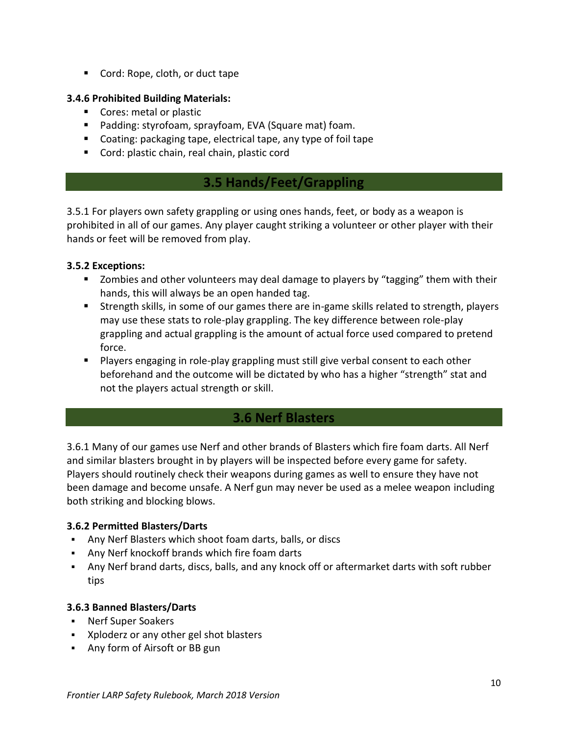■ Cord: Rope, cloth, or duct tape

## **3.4.6 Prohibited Building Materials:**

- Cores: metal or plastic
- Padding: styrofoam, sprayfoam, EVA (Square mat) foam.
- Coating: packaging tape, electrical tape, any type of foil tape
- <span id="page-9-0"></span>■ Cord: plastic chain, real chain, plastic cord

## **3.5 Hands/Feet/Grappling**

3.5.1 For players own safety grappling or using ones hands, feet, or body as a weapon is prohibited in all of our games. Any player caught striking a volunteer or other player with their hands or feet will be removed from play.

## **3.5.2 Exceptions:**

- Zombies and other volunteers may deal damage to players by "tagging" them with their hands, this will always be an open handed tag.
- Strength skills, in some of our games there are in-game skills related to strength, players may use these stats to role-play grappling. The key difference between role-play grappling and actual grappling is the amount of actual force used compared to pretend force.
- **E** Players engaging in role-play grappling must still give verbal consent to each other beforehand and the outcome will be dictated by who has a higher "strength" stat and not the players actual strength or skill.

## **3.6 Nerf Blasters**

<span id="page-9-1"></span>3.6.1 Many of our games use Nerf and other brands of Blasters which fire foam darts. All Nerf and similar blasters brought in by players will be inspected before every game for safety. Players should routinely check their weapons during games as well to ensure they have not been damage and become unsafe. A Nerf gun may never be used as a melee weapon including both striking and blocking blows.

## **3.6.2 Permitted Blasters/Darts**

- Any Nerf Blasters which shoot foam darts, balls, or discs
- Any Nerf knockoff brands which fire foam darts
- Any Nerf brand darts, discs, balls, and any knock off or aftermarket darts with soft rubber tips

### **3.6.3 Banned Blasters/Darts**

- Nerf Super Soakers
- Xploderz or any other gel shot blasters
- Any form of Airsoft or BB gun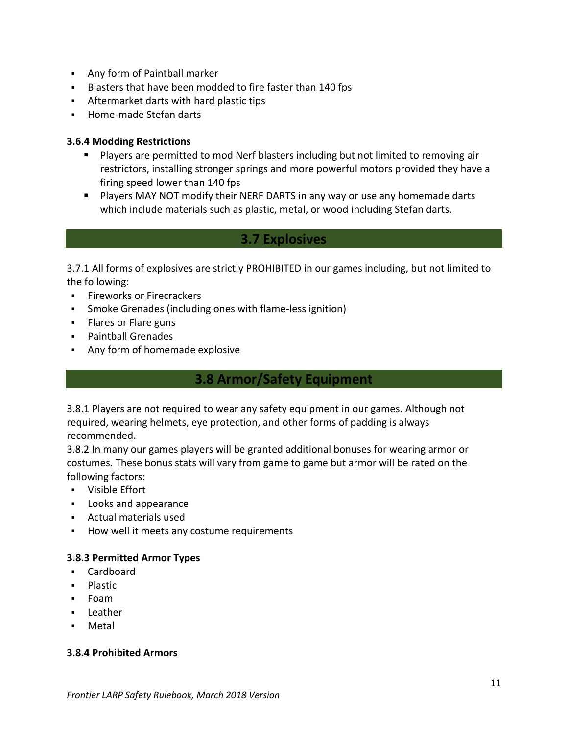- Any form of Paintball marker
- Blasters that have been modded to fire faster than 140 fps
- Aftermarket darts with hard plastic tips
- Home-made Stefan darts

### **3.6.4 Modding Restrictions**

- Players are permitted to mod Nerf blasters including but not limited to removing air restrictors, installing stronger springs and more powerful motors provided they have a firing speed lower than 140 fps
- Players MAY NOT modify their NERF DARTS in any way or use any homemade darts which include materials such as plastic, metal, or wood including Stefan darts.

## **3.7 Explosives**

<span id="page-10-0"></span>3.7.1 All forms of explosives are strictly PROHIBITED in our games including, but not limited to the following:

- **EXECUTE:** Fireworks or Firecrackers
- Smoke Grenades (including ones with flame-less ignition)
- **EXEL** Flares or Flare guns
- Paintball Grenades
- <span id="page-10-1"></span>▪ Any form of homemade explosive

## **3.8 Armor/Safety Equipment**

3.8.1 Players are not required to wear any safety equipment in our games. Although not required, wearing helmets, eye protection, and other forms of padding is always recommended.

3.8.2 In many our games players will be granted additional bonuses for wearing armor or costumes. These bonus stats will vary from game to game but armor will be rated on the following factors:

- Visible Effort
- Looks and appearance
- Actual materials used
- How well it meets any costume requirements

### **3.8.3 Permitted Armor Types**

- Cardboard
- Plastic
- Foam
- Leather
- **Metal**

#### **3.8.4 Prohibited Armors**